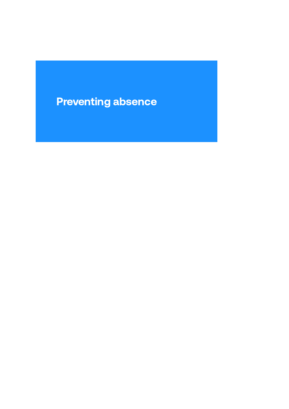# Preventing absence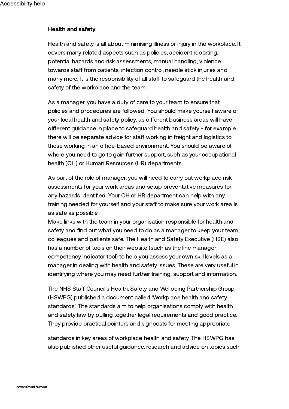# Health and safety

Health and safety is all about minimising illness or injury in the workplace. It covers many related aspects such as policies, accident reporting, potential hazards and risk assessments, manual handling, violence towards staff from patients, infection control, needle stick injuries and many more. It is the responsibility of all staff to safeguard the health and safety of the workplace and the team.

As a manager, you have a duty of care to your team to ensure that policies and procedures are followed. You should make yourself aware of your local health and safety policy, as different business areas will have different guidance in place to safeguard health and safety - for example, there will be separate advice for staff working in freight and logistics to those working in an office-based environment. You should be aware of where you need to go to gain further support, such as your occupational health (OH) or Human Resources (HR) departments.

As part of the role of manager, you will need to carry out workplace risk assessments for your work areas and setup preventative measures for any hazards identified. Your OH or HR department can help with any training needed for yourself and your staff to make sure your work area is as safe as possible.

Make links with the team in your organisation responsible for health and safety and find out what you need to do as a manager to keep your team, colleagues and patients safe. The Health and Safety Executive (HSE) also has a number of tools on their website (such as the line manager competency indicator tool) to help you assess your own skill levels as a manager in dealing with health and safety issues. These are very useful in identifying where you may need further training, support and information.

The NHS Staff Council's Health, Safety and Wellbeing Partnership Group (HSWPG) published a document called 'Workplace health and safety standards'. The standards aim to help organisations comply with health and safety law by pulling together legal requirements and good practice. They provide practical pointers and signposts for meeting appropriate

standards in key areas of workplace health and safety. The HSWPG has also published other useful guidance, research and advice on topics such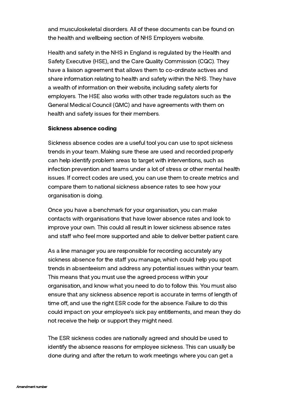and musculoskeletal disorders. All of these documents can be found on the health and wellbeing section of NHS Employers website.

Health and safety in the NHS in England is regulated by the Health and Safety Executive (HSE), and the Care Quality Commission (CQC). They have a liaison agreement that allows them to co-ordinate actives and share information relating to health and safety within the NHS. They have a wealth of information on their website, including safety alerts for employers. The HSE also works with other trade regulators such as the General Medical Council (GMC) and have agreements with them on health and safety issues for their members.

# Sickness absence coding

Sickness absence codes are a useful tool you can use to spot sickness trends in your team. Making sure these are used and recorded properly can help identify problem areas to target with interventions, such as infection prevention and teams under a lot of stress or other mental health issues. If correct codes are used, you can use them to create metrics and compare them to national sickness absence rates to see how your organisation is doing.

Once you have a benchmark for your organisation, you can make contacts with organisations that have lower absence rates and look to improve your own. This could all result in lower sickness absence rates and staff who feel more supported and able to deliver better patient care.

As a line manager you are responsible for recording accurately any sickness absence for the staff you manage, which could help you spot trends in absenteeism and address any potential issues within your team. This means that you must use the agreed process within your organisation, and know what you need to do to follow this. You must also ensure that any sickness absence report is accurate in terms of length of time off, and use the right ESR code for the absence. Failure to do this could impact on your employee's sick pay entitlements, and mean they do not receive the help or support they might need.

The ESR sickness codes are nationally agreed and should be used to identify the absence reasons for employee sickness. This can usually be done during and after the return to work meetings where you can get a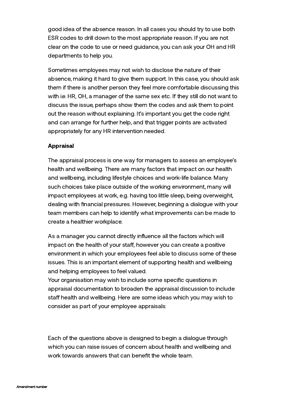good idea of the absence reason. In all cases you should try to use both ESR codes to drill down to the most appropriate reason. If you are not clear on the code to use or need guidance, you can ask your OH and HR departments to help you.

Sometimes employees may not wish to disclose the nature of their absence, making it hard to give them support. In this case, you should ask them if there is another person they feel more comfortable discussing this with i.e. HR, OH, a manager of the same sex etc. If they still do not want to discuss the issue, perhaps show them the codes and ask them to point out the reason without explaining. It's important you get the code right and can arrange for further help, and that trigger points are activated appropriately for any HR intervention needed.

# Appraisal

The appraisal process is one way for managers to assess an employee's health and wellbeing. There are many factors that impact on our health and wellbeing, including lifestyle choices and work-life balance. Many such choices take place outside of the working environment, many will impact employees at work, e.g. having too little sleep, being overweight, dealing with financial pressures. However, beginning a dialogue with your team members can help to identify what improvements can be made to create a healthier workplace.

As a manager you cannot directly influence all the factors which will impact on the health of your staff, however you can create a positive environment in which your employees feel able to discuss some of these issues. This is an important element of supporting health and wellbeing and helping employees to feel valued.

Your organisation may wish to include some specific questions in appraisal documentation to broaden the appraisal discussion to include staff health and wellbeing. Here are some ideas which you may wish to consider as part of your employee appraisals:

Each of the questions above is designed to begin a dialogue through which you can raise issues of concern about health and wellbeing and work towards answers that can benefit the whole team.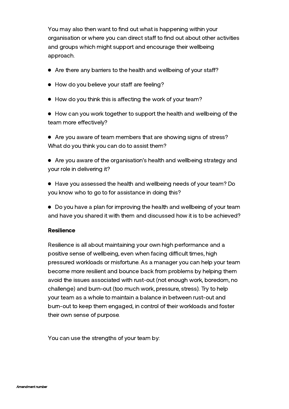You may also then want to find out what is happening within your organisation or where you can direct staff to find out about other activities and groups which might support and encourage their wellbeing approach.

- Are there any barriers to the health and wellbeing of your staff?
- How do you believe your staff are feeling?
- $\bullet$  How do you think this is affecting the work of your team?

How can you work together to support the health and wellbeing of the team more effectively?

Are you aware of team members that are showing signs of stress? What do you think you can do to assist them?

Are you aware of the organisation's health and wellbeing strategy and your role in delivering it?

- Have you assessed the health and wellbeing needs of your team? Do you know who to go to for assistance in doing this?
- Do you have a plan for improving the health and wellbeing of your team and have you shared it with them and discussed how it is to be achieved?

# **Resilience**

Resilience is all about maintaining your own high performance and a positive sense of wellbeing, even when facing difficult times, high pressured workloads or misfortune. As a manager you can help your team become more resilient and bounce back from problems by helping them avoid the issues associated with rust-out (not enough work, boredom, no challenge) and burn-out (too much work, pressure, stress). Try to help your team as a whole to maintain a balance in between rust-out and burn-out to keep them engaged, in control of their workloads and foster their own sense of purpose.

You can use the strengths of your team by: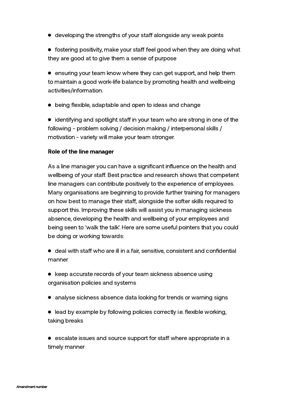$\bullet$  developing the strengths of your staff alongside any weak points

 $\bullet$  fostering positivity, make your staff feel good when they are doing what they are good at to give them a sense of purpose

ensuring your team know where they can get support, and help them to maintain a good work-life balance by promoting health and wellbeing activities/information.

being flexible, adaptable and open to ideas and change

 $\bullet$  identifying and spotlight staff in your team who are strong in one of the following - problem solving / decision making / interpersonal skills / motivation - variety will make your team stronger.

## Role of the line manager

As a line manager you can have a significant influence on the health and wellbeing of your staff. Best practice and research shows that competent line managers can contribute positively to the experience of employees. Many organisations are beginning to provide further training for managers on how best to manage their staff, alongside the softer skills required to support this. Improving these skills will assist you in managing sickness absence, developing the health and wellbeing of your employees and being seen to 'walk the talk'. Here are some useful pointers that you could be doing or working towards:

 $\bullet$  deal with staff who are ill in a fair, sensitive, consistent and confidential manner

- keep accurate records of your team sickness absence using organisation policies and systems
- analyse sickness absence data looking for trends or warning signs
- lead by example by following policies correctly i.e. flexible working, taking breaks

 $\bullet$  escalate issues and source support for staff where appropriate in a timely manner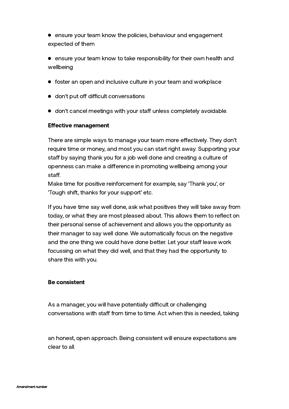**•** ensure your team know the policies, behaviour and engagement expected of them

**•** ensure your team know to take responsibility for their own health and wellbeing

- foster an open and inclusive culture in your team and workplace
- $\bullet$  don't put off difficult conversations
- $\bullet$  don't cancel meetings with your staff unless completely avoidable.

# **Effective management**

There are simple ways to manage your team more effectively. They don't require time or money, and most you can start right away. Supporting your staff by saying thank you for a job well done and creating a culture of openness can make a difference in promoting wellbeing among your staff.

Make time for positive reinforcement for example, say 'Thank you', or 'Tough shift, thanks for your support' etc.

If you have time say well done, ask what positives they will take away from today, or what they are most pleased about. This allows them to reflect on their personal sense of achievement and allows you the opportunity as their manager to say well done. We automatically focus on the negative and the one thing we could have done better. Let your staff leave work focussing on what they did well, and that they had the opportunity to share this with you.

## Be consistent

As a manager, you will have potentially difficult or challenging conversations with staff from time to time. Act when this is needed, taking

an honest, open approach. Being consistent will ensure expectations are clear to all.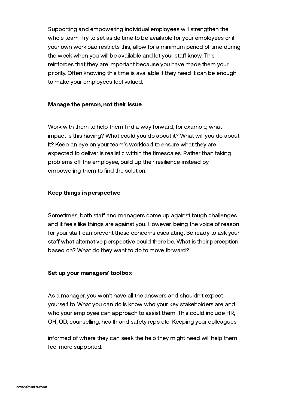Supporting and empowering individual employees will strengthen the whole team. Try to set aside time to be available for your employees or if your own workload restricts this, allow for a minimum period of time during the week when you will be available and let your staff know. This reinforces that they are important because you have made them your priority. Often knowing this time is available if they need it can be enough to make your employees feel valued.

## Manage the person, not their issue

Work with them to help them find a way forward, for example, what impact is this having? What could you do about it? What will you do about it? Keep an eye on your team's workload to ensure what they are expected to deliver is realistic within the timescales. Rather than taking problems off the employee, build up their resilience instead by empowering them to find the solution.

#### Keep things in perspective

Sometimes, both staff and managers come up against tough challenges and it feels like things are against you. However, being the voice of reason for your staff can prevent these concerns escalating. Be ready to ask your staff what alternative perspective could there be. What is their perception based on? What do they want to do to move forward?

#### Set up your managers' toolbox

As a manager, you won't have all the answers and shouldn't expect yourself to. What you can do is know who your key stakeholders are and who your employee can approach to assist them. This could include HR, OH, OD, counselling, health and safety reps etc. Keeping your colleagues

informed of where they can seek the help they might need will help them feel more supported.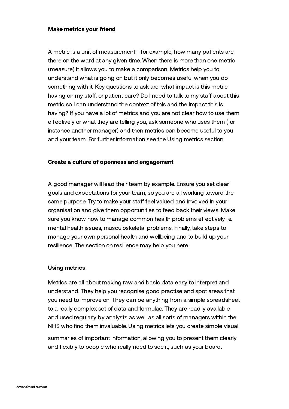## Make metrics your friend

A metric is a unit of measurement - for example, how many patients are there on the ward at any given time. When there is more than one metric (measure) it allows you to make a comparison. Metrics help you to understand what is going on but it only becomes useful when you do something with it. Key questions to ask are: what impact is this metric having on my staff, or patient care? Do I need to talk to my staff about this metric so I can understand the context of this and the impact this is having? If you have a lot of metrics and you are not clear how to use them effectively or what they are telling you, ask someone who uses them (for instance another manager) and then metrics can become useful to you and your team. For further information see the Using metrics section.

## Create a culture of openness and engagement

A good manager will lead their team by example. Ensure you set clear goals and expectations for your team, so you are all working toward the same purpose. Try to make your staff feel valued and involved in your organisation and give them opportunities to feed back their views. Make sure you know how to manage common health problems effectively i.e. mental health issues, musculoskeletal problems. Finally, take steps to manage your own personal health and wellbeing and to build up your resilience. The section on resilience may help you here.

## Using metrics

Metrics are all about making raw and basic data easy to interpret and understand. They help you recognise good practise and spot areas that you need to improve on. They can be anything from a simple spreadsheet to a really complex set of data and formulae. They are readily available and used regularly by analysts as well as all sorts of managers within the NHS who find them invaluable. Using metrics lets you create simple visual

summaries of important information, allowing you to present them clearly and flexibly to people who really need to see it, such as your board.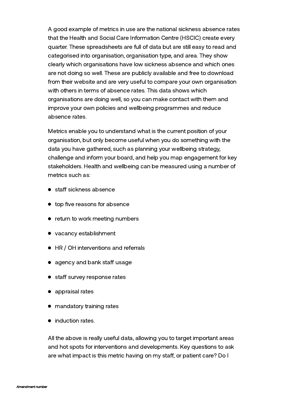A good example of metrics in use are the national sickness absence rates that the Health and Social Care Information Centre (HSCIC) create every quarter. These spreadsheets are full of data but are still easy to read and categorised into organisation, organisation type, and area. They show clearly which organisations have low sickness absence and which ones are not doing so well. These are publicly available and free to download from their website and are very useful to compare your own organisation with others in terms of absence rates. This data shows which organisations are doing well, so you can make contact with them and improve your own policies and wellbeing programmes and reduce absence rates.

Metrics enable you to understand what is the current position of your organisation, but only become useful when you do something with the data you have gathered, such as planning your wellbeing strategy, challenge and inform your board, and help you map engagement for key stakeholders. Health and wellbeing can be measured using a number of metrics such as:

- $\bullet$  staff sickness absence
- top five reasons for absence
- return to work meeting numbers
- vacancy establishment
- HR / OH interventions and referrals
- $\bullet$  agency and bank staff usage
- staff survey response rates
- appraisal rates
- mandatory training rates
- induction rates.

All the above is really useful data, allowing you to target important areas and hot spots for interventions and developments. Key questions to ask are what impact is this metric having on my staff, or patient care? Do I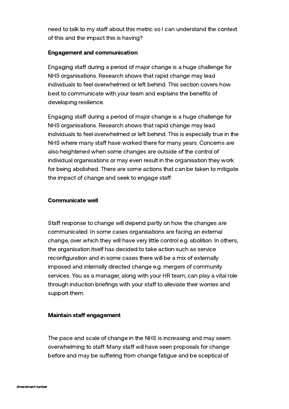need to talk to my staff about this metric so I can understand the context of this and the impact this is having?

# Engagement and communication

Engaging staff during a period of major change is a huge challenge for NHS organisations. Research shows that rapid change may lead individuals to feel overwhelmed or left behind. This section covers how best to communicate with your team and explains the benefits of developing resilience.

Engaging staff during a period of major change is a huge challenge for NHS organisations. Research shows that rapid change may lead individuals to feel overwhelmed or left behind. This is especially true in the NHS where many staff have worked there for many years. Concerns are also heightened when some changes are outside of the control of individual organisations or may even result in the organisation they work for being abolished. There are some actions that can be taken to mitigate the impact of change and seek to engage staff:

# Communicate well

Staff response to change will depend partly on how the changes are communicated. In some cases organisations are facing an external change, over which they will have very little control e.g. abolition. In others, the organisation itself has decided to take action such as service reconfiguration and in some cases there will be a mix of externally imposed and internally directed change e.g. mergers of community services. You as a manager, along with your HR team, can play a vital role through induction briefings with your staff to alleviate their worries and support them.

# Maintain staff engagement

The pace and scale of change in the NHS is increasing and may seem overwhelming to staff. Many staff will have seen proposals for change before and may be suffering from change fatigue and be sceptical of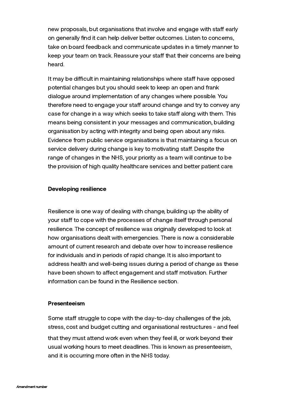new proposals, but organisations that involve and engage with staff early on generally find it can help deliver better outcomes. Listen to concerns, take on board feedback and communicate updates in a timely manner to keep your team on track. Reassure your staff that their concerns are being heard.

It may be difficult in maintaining relationships where staff have opposed potential changes but you should seek to keep an open and frank dialogue around implementation of any changes where possible. You therefore need to engage your staff around change and try to convey any case for change in a way which seeks to take staff along with them. This means being consistent in your messages and communication, building organisation by acting with integrity and being open about any risks. Evidence from public service organisations is that maintaining a focus on service delivery during change is key to motivating staff. Despite the range of changes in the NHS, your priority as a team will continue to be the provision of high quality healthcare services and better patient care.

# Developing resilience

Resilience is one way of dealing with change, building up the ability of your staff to cope with the processes of change itself through personal resilience. The concept of resilience was originally developed to look at how organisations dealt with emergencies. There is now a considerable amount of current research and debate over how to increase resilience for individuals and in periods of rapid change. It is also important to address health and well-being issues during a period of change as these have been shown to affect engagement and staff motivation. Further information can be found in the Resilience section.

## Presenteeism

Some staff struggle to cope with the day-to-day challenges of the job, stress, cost and budget cutting and organisational restructures - and feel that they must attend work even when they feel ill, or work beyond their usual working hours to meet deadlines. This is known as presenteeism, and it is occurring more often in the NHS today.